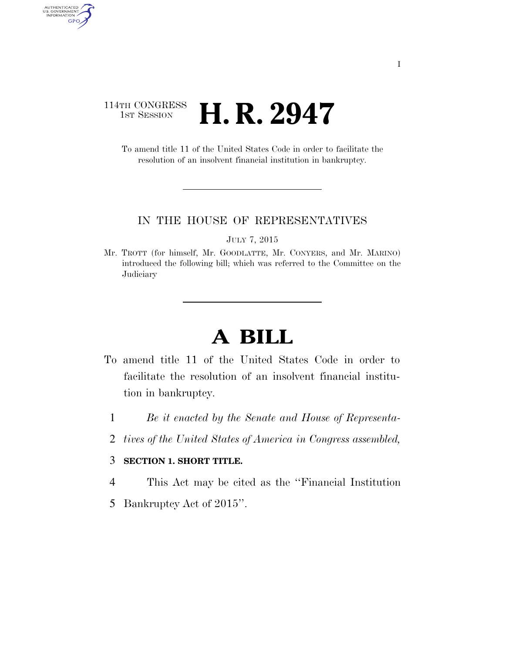#### 114TH CONGRESS **1st Session H. R. 2947**

AUTHENTICATED<br>U.S. GOVERNMENT<br>INFORMATION

GPO

To amend title 11 of the United States Code in order to facilitate the resolution of an insolvent financial institution in bankruptcy.

#### IN THE HOUSE OF REPRESENTATIVES

JULY 7, 2015

Mr. TROTT (for himself, Mr. GOODLATTE, Mr. CONYERS, and Mr. MARINO) introduced the following bill; which was referred to the Committee on the **Judiciary** 

# **A BILL**

- To amend title 11 of the United States Code in order to facilitate the resolution of an insolvent financial institution in bankruptcy.
	- 1 *Be it enacted by the Senate and House of Representa-*
	- 2 *tives of the United States of America in Congress assembled,*

#### 3 **SECTION 1. SHORT TITLE.**

- 4 This Act may be cited as the ''Financial Institution
- 5 Bankruptcy Act of 2015''.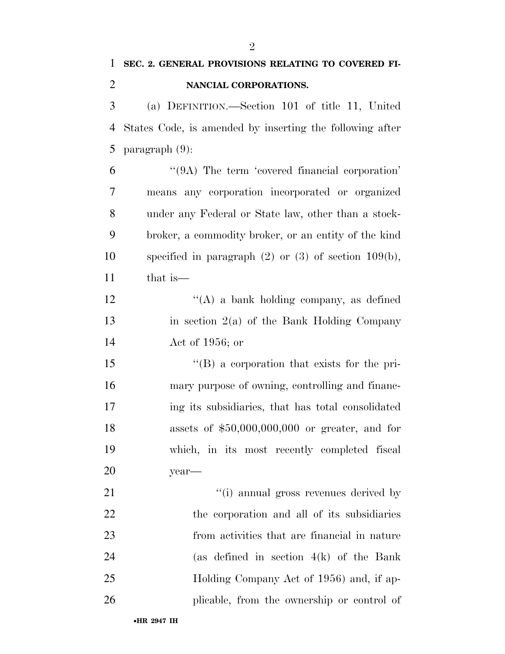| 1              | SEC. 2. GENERAL PROVISIONS RELATING TO COVERED FI-       |
|----------------|----------------------------------------------------------|
| $\overline{2}$ | NANCIAL CORPORATIONS.                                    |
| 3              | (a) DEFINITION.—Section 101 of title 11, United          |
| 4              | States Code, is amended by inserting the following after |
| 5              | $\text{param}(\theta)$ :                                 |
| 6              | "(9A) The term 'covered financial corporation'           |
| 7              | means any corporation incorporated or organized          |
| 8              | under any Federal or State law, other than a stock-      |
| 9              | broker, a commodity broker, or an entity of the kind     |
| 10             | specified in paragraph $(2)$ or $(3)$ of section 109(b), |
| 11             | that is—                                                 |
| 12             | $\lq\lq(A)$ a bank holding company, as defined           |
| 13             | in section $2(a)$ of the Bank Holding Company            |
| 14             | Act of 1956; or                                          |
| 15             | "(B) a corporation that exists for the pri-              |
| 16             | mary purpose of owning, controlling and financ-          |
| 17             | ing its subsidiaries, that has total consolidated        |
| 18             | assets of $$50,000,000,000$ or greater, and for          |
| 19             | which, in its most recently completed fiscal             |
| 20             | year-                                                    |
| 21             | "(i) annual gross revenues derived by                    |
| 22             | the corporation and all of its subsidiaries              |
| 23             | from activities that are financial in nature             |
| 24             | (as defined in section $4(k)$ of the Bank                |
| 25             | Holding Company Act of 1956) and, if ap-                 |
| 26             | plicable, from the ownership or control of               |
|                | •HR 2947 IH                                              |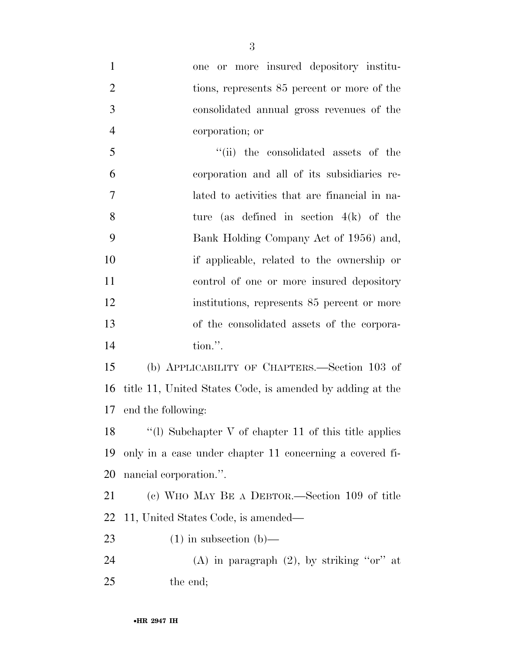| $\mathbf{1}$   | one or more insured depository institu-                   |
|----------------|-----------------------------------------------------------|
| $\overline{2}$ | tions, represents 85 percent or more of the               |
| $\mathfrak{Z}$ | consolidated annual gross revenues of the                 |
| $\overline{4}$ | corporation; or                                           |
| 5              | "(ii) the consolidated assets of the                      |
| 6              | corporation and all of its subsidiaries re-               |
| $\tau$         | lated to activities that are financial in na-             |
| 8              | ture (as defined in section $4(k)$ of the                 |
| 9              | Bank Holding Company Act of 1956) and,                    |
| 10             | if applicable, related to the ownership or                |
| 11             | control of one or more insured depository                 |
| 12             | institutions, represents 85 percent or more               |
| 13             | of the consolidated assets of the corpora-                |
| 14             | tion.".                                                   |
| 15             | (b) APPLICABILITY OF CHAPTERS.—Section 103 of             |
| 16             | title 11, United States Code, is amended by adding at the |
| 17             | end the following:                                        |
| 18             | $\lq(1)$ Subchapter V of chapter 11 of this title applies |
| 19             | only in a case under chapter 11 concerning a covered fi-  |
| <b>20</b>      | nancial corporation.".                                    |
| 21             | (c) WHO MAY BE A DEBTOR.—Section 109 of title             |
| 22             | 11, United States Code, is amended—                       |
| 23             | $(1)$ in subsection $(b)$ —                               |
| 24             | (A) in paragraph $(2)$ , by striking "or" at              |
| 25             | the end;                                                  |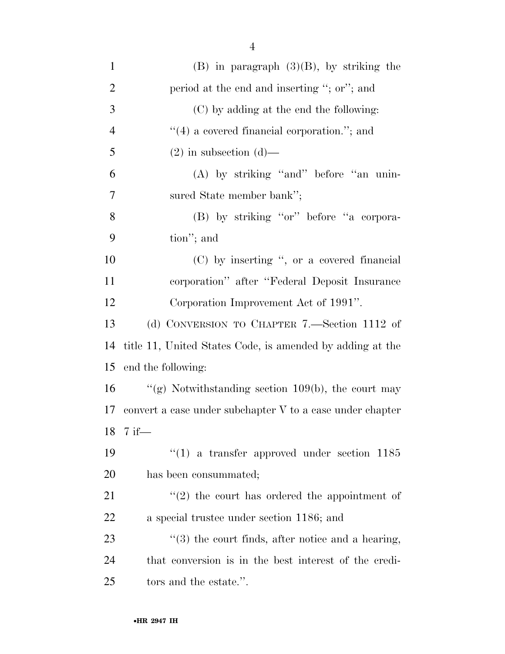| $\mathbf{1}$   | $(B)$ in paragraph $(3)(B)$ , by striking the             |
|----------------|-----------------------------------------------------------|
| $\overline{2}$ | period at the end and inserting "; or"; and               |
| 3              | (C) by adding at the end the following:                   |
| $\overline{4}$ | $\cdot$ (4) a covered financial corporation."; and        |
| 5              | $(2)$ in subsection $(d)$ —                               |
| 6              | (A) by striking "and" before "an unin-                    |
| 7              | sured State member bank";                                 |
| 8              | (B) by striking "or" before "a corpora-                   |
| 9              | tion"; and                                                |
| 10             | $(C)$ by inserting ", or a covered financial              |
| 11             | corporation" after "Federal Deposit Insurance             |
| 12             | Corporation Improvement Act of 1991".                     |
| 13             | (d) CONVERSION TO CHAPTER 7.—Section 1112 of              |
| 14             | title 11, United States Code, is amended by adding at the |
| 15             | end the following:                                        |
| 16             | "(g) Notwithstanding section $109(b)$ , the court may     |
| 17             | convert a case under subchapter V to a case under chapter |
|                | 18 7 if-                                                  |
| 19             | $(1)$ a transfer approved under section 1185              |
| <b>20</b>      | has been consummated;                                     |
| 21             | $(2)$ the court has ordered the appointment of            |
| 22             | a special trustee under section 1186; and                 |
| 23             | $\lq(3)$ the court finds, after notice and a hearing,     |
| 24             | that conversion is in the best interest of the credi-     |
| 25             | tors and the estate.".                                    |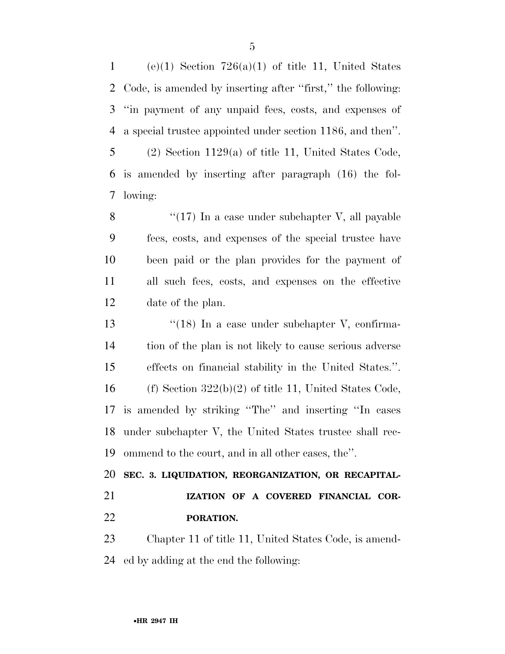1 (e)(1) Section  $726(a)(1)$  of title 11, United States Code, is amended by inserting after ''first,'' the following: ''in payment of any unpaid fees, costs, and expenses of a special trustee appointed under section 1186, and then''. (2) Section 1129(a) of title 11, United States Code, is amended by inserting after paragraph (16) the fol-

8 ''(17) In a case under subchapter V, all payable fees, costs, and expenses of the special trustee have been paid or the plan provides for the payment of all such fees, costs, and expenses on the effective date of the plan.

13 ''(18) In a case under subchapter V, confirma- tion of the plan is not likely to cause serious adverse effects on financial stability in the United States.''. 16 (f) Section  $322(b)(2)$  of title 11, United States Code, is amended by striking ''The'' and inserting ''In cases under subchapter V, the United States trustee shall rec-ommend to the court, and in all other cases, the''.

 **SEC. 3. LIQUIDATION, REORGANIZATION, OR RECAPITAL- IZATION OF A COVERED FINANCIAL COR-PORATION.** 

 Chapter 11 of title 11, United States Code, is amend-ed by adding at the end the following:

lowing: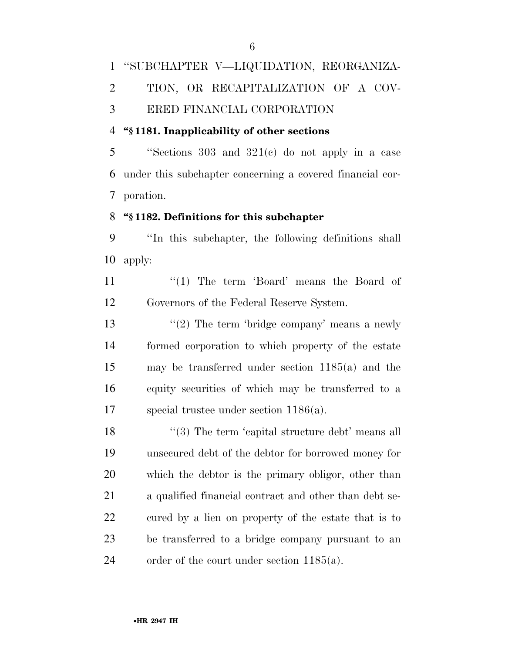## ''SUBCHAPTER V—LIQUIDATION, REORGANIZA- TION, OR RECAPITALIZATION OF A COV-ERED FINANCIAL CORPORATION

#### **''§ 1181. Inapplicability of other sections**

 ''Sections 303 and 321(c) do not apply in a case under this subchapter concerning a covered financial cor-poration.

#### **''§ 1182. Definitions for this subchapter**

 ''In this subchapter, the following definitions shall apply:

11 ''(1) The term 'Board' means the Board of Governors of the Federal Reserve System.

 $\frac{1}{2}$  The term 'bridge company' means a newly formed corporation to which property of the estate may be transferred under section 1185(a) and the equity securities of which may be transferred to a special trustee under section 1186(a).

18 ''(3) The term 'capital structure debt' means all unsecured debt of the debtor for borrowed money for which the debtor is the primary obligor, other than a qualified financial contract and other than debt se- cured by a lien on property of the estate that is to be transferred to a bridge company pursuant to an order of the court under section 1185(a).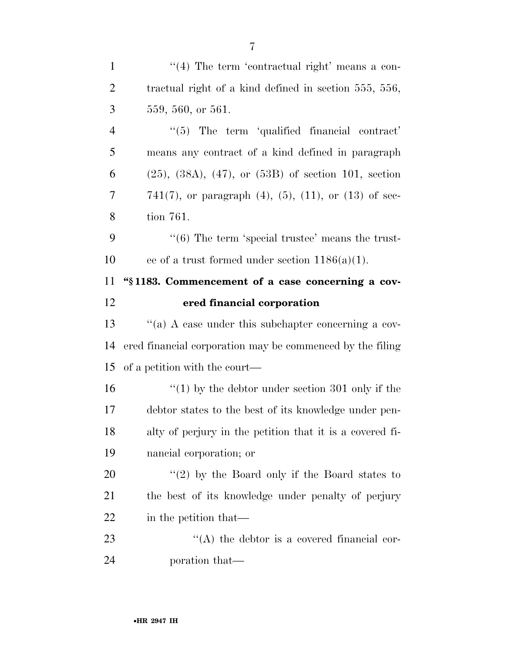| $\mathbf{1}$   | $\lq(4)$ The term 'contractual right' means a con-              |
|----------------|-----------------------------------------------------------------|
| $\overline{2}$ | tractual right of a kind defined in section 555, 556,           |
| 3              | 559, 560, or 561.                                               |
| $\overline{4}$ | $\lq(5)$ The term 'qualified financial contract'                |
| 5              | means any contract of a kind defined in paragraph               |
| 6              | $(25)$ , $(38A)$ , $(47)$ , or $(53B)$ of section 101, section  |
| 7              | 741(7), or paragraph $(4)$ , $(5)$ , $(11)$ , or $(13)$ of sec- |
| 8              | tion 761.                                                       |
| 9              | $\cdot\cdot$ (6) The term 'special trustee' means the trust-    |
| 10             | ee of a trust formed under section $1186(a)(1)$ .               |
| 11             | "\\$1183. Commencement of a case concerning a cov-              |
| 12             | ered financial corporation                                      |
|                |                                                                 |
| 13             | "(a) A case under this subchapter concerning a cov-             |
| 14             | ered financial corporation may be commenced by the filing       |
| 15             | of a petition with the court—                                   |
| 16             | "(1) by the debtor under section 301 only if the                |
| 17             | debtor states to the best of its knowledge under pen-           |
| 18             | alty of perjury in the petition that it is a covered fi-        |
| 19             | nancial corporation; or                                         |
| 20             | "(2) by the Board only if the Board states to                   |
| 21             | the best of its knowledge under penalty of perjury              |
| 22             | in the petition that—                                           |
| 23             | $\lq\lq$ the debtor is a covered financial cor-                 |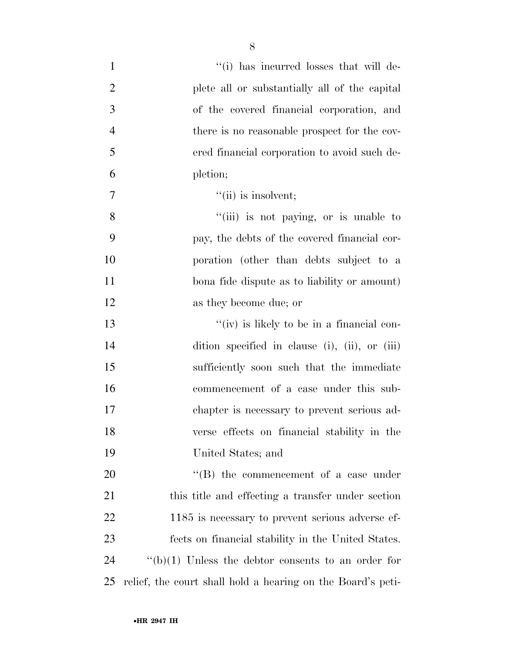| $\mathbf{1}$   | "(i) has incurred losses that will de-                      |
|----------------|-------------------------------------------------------------|
| $\overline{2}$ | plete all or substantially all of the capital               |
| 3              | of the covered financial corporation, and                   |
| $\overline{4}$ | there is no reasonable prospect for the cov-                |
| 5              | ered financial corporation to avoid such de-                |
| 6              | pletion;                                                    |
| 7              | $\lq\lq$ (ii) is insolvent;                                 |
| 8              | "(iii) is not paying, or is unable to                       |
| 9              | pay, the debts of the covered financial cor-                |
| 10             | poration (other than debts subject to a                     |
| 11             | bona fide dispute as to liability or amount)                |
| 12             | as they become due; or                                      |
| 13             | "(iv) is likely to be in a financial con-                   |
| 14             | dition specified in clause (i), (ii), or (iii)              |
| 15             | sufficiently soon such that the immediate                   |
| 16             | commencement of a case under this sub-                      |
| 17             | chapter is necessary to prevent serious ad-                 |
| 18             | verse effects on financial stability in the                 |
| 19             | United States; and                                          |
| 20             | $\lq\lq$ the commencement of a case under                   |
| 21             | this title and effecting a transfer under section           |
| 22             | 1185 is necessary to prevent serious adverse ef-            |
| 23             | fects on financial stability in the United States.          |
| 24             | " $(b)(1)$ Unless the debtor consents to an order for       |
| 25             | relief, the court shall hold a hearing on the Board's peti- |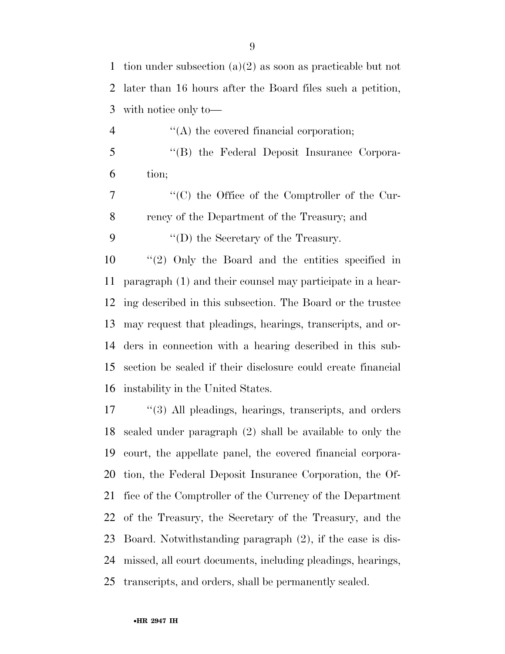tion under subsection (a)(2) as soon as practicable but not later than 16 hours after the Board files such a petition, with notice only to—

- 4  $\langle (A)$  the covered financial corporation; ''(B) the Federal Deposit Insurance Corpora-tion;
- ''(C) the Office of the Comptroller of the Cur-rency of the Department of the Treasury; and

9  $\langle \text{`}(D) \rangle$  the Secretary of the Treasury.

 ''(2) Only the Board and the entities specified in paragraph (1) and their counsel may participate in a hear- ing described in this subsection. The Board or the trustee may request that pleadings, hearings, transcripts, and or- ders in connection with a hearing described in this sub- section be sealed if their disclosure could create financial instability in the United States.

 ''(3) All pleadings, hearings, transcripts, and orders sealed under paragraph (2) shall be available to only the court, the appellate panel, the covered financial corpora- tion, the Federal Deposit Insurance Corporation, the Of- fice of the Comptroller of the Currency of the Department of the Treasury, the Secretary of the Treasury, and the Board. Notwithstanding paragraph (2), if the case is dis- missed, all court documents, including pleadings, hearings, transcripts, and orders, shall be permanently sealed.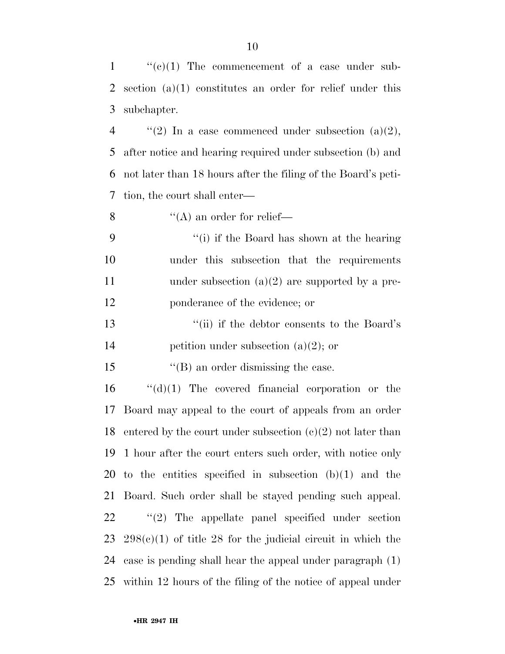$\langle (e)(1) \rangle$  The commencement of a case under sub- section (a)(1) constitutes an order for relief under this subchapter.  $\langle$  (2) In a case commenced under subsection (a)(2), after notice and hearing required under subsection (b) and

 not later than 18 hours after the filing of the Board's peti-tion, the court shall enter—

8  $"({\rm A})$  an order for relief—

 ''(i) if the Board has shown at the hearing under this subsection that the requirements 11 under subsection (a)(2) are supported by a pre-ponderance of the evidence; or

 ''(ii) if the debtor consents to the Board's 14 petition under subsection  $(a)(2)$ ; or

15 ''(B) an order dismissing the case.

 ''(d)(1) The covered financial corporation or the Board may appeal to the court of appeals from an order 18 entered by the court under subsection  $(e)(2)$  not later than 1 hour after the court enters such order, with notice only 20 to the entities specified in subsection  $(b)(1)$  and the Board. Such order shall be stayed pending such appeal. ''(2) The appellate panel specified under section  $298(e)(1)$  of title 28 for the judicial circuit in which the case is pending shall hear the appeal under paragraph (1) within 12 hours of the filing of the notice of appeal under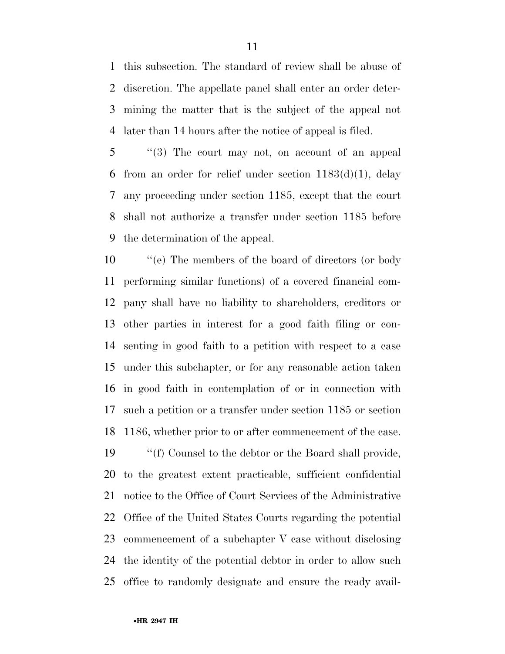this subsection. The standard of review shall be abuse of discretion. The appellate panel shall enter an order deter- mining the matter that is the subject of the appeal not later than 14 hours after the notice of appeal is filed.

 ''(3) The court may not, on account of an appeal from an order for relief under section 1183(d)(1), delay any proceeding under section 1185, except that the court shall not authorize a transfer under section 1185 before the determination of the appeal.

 ''(e) The members of the board of directors (or body performing similar functions) of a covered financial com- pany shall have no liability to shareholders, creditors or other parties in interest for a good faith filing or con- senting in good faith to a petition with respect to a case under this subchapter, or for any reasonable action taken in good faith in contemplation of or in connection with such a petition or a transfer under section 1185 or section 1186, whether prior to or after commencement of the case.

 ''(f) Counsel to the debtor or the Board shall provide, to the greatest extent practicable, sufficient confidential notice to the Office of Court Services of the Administrative Office of the United States Courts regarding the potential commencement of a subchapter V case without disclosing the identity of the potential debtor in order to allow such office to randomly designate and ensure the ready avail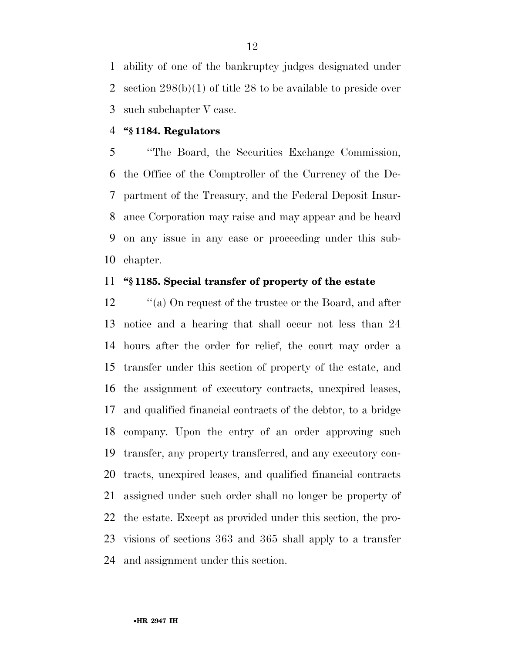ability of one of the bankruptcy judges designated under section 298(b)(1) of title 28 to be available to preside over such subchapter V case.

#### **''§ 1184. Regulators**

 ''The Board, the Securities Exchange Commission, the Office of the Comptroller of the Currency of the De- partment of the Treasury, and the Federal Deposit Insur- ance Corporation may raise and may appear and be heard on any issue in any case or proceeding under this sub-chapter.

#### **''§ 1185. Special transfer of property of the estate**

12 ''(a) On request of the trustee or the Board, and after notice and a hearing that shall occur not less than 24 hours after the order for relief, the court may order a transfer under this section of property of the estate, and the assignment of executory contracts, unexpired leases, and qualified financial contracts of the debtor, to a bridge company. Upon the entry of an order approving such transfer, any property transferred, and any executory con- tracts, unexpired leases, and qualified financial contracts assigned under such order shall no longer be property of the estate. Except as provided under this section, the pro- visions of sections 363 and 365 shall apply to a transfer and assignment under this section.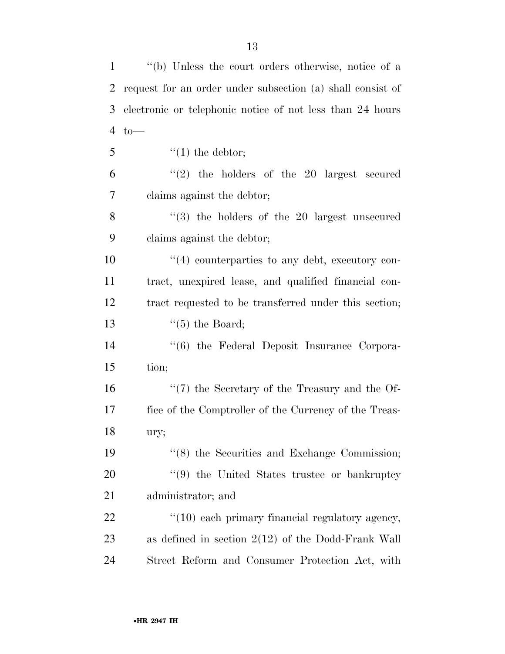| $\mathbf{1}$   | "(b) Unless the court orders otherwise, notice of a        |
|----------------|------------------------------------------------------------|
| $\overline{2}$ | request for an order under subsection (a) shall consist of |
| 3              | electronic or telephonic notice of not less than 24 hours  |
| $\overline{4}$ | $to-$                                                      |
| 5              | $\lq(1)$ the debtor;                                       |
| 6              | $(2)$ the holders of the 20 largest secured                |
| 7              | claims against the debtor;                                 |
| 8              | $(3)$ the holders of the 20 largest unsecured              |
| 9              | claims against the debtor;                                 |
| 10             | $\cdot$ (4) counterparties to any debt, executory con-     |
| 11             | tract, unexpired lease, and qualified financial con-       |
| 12             | tract requested to be transferred under this section;      |
| 13             | $\lq(5)$ the Board;                                        |
| 14             | "(6) the Federal Deposit Insurance Corpora-                |
| 15             | tion;                                                      |
| 16             | $\lq(7)$ the Secretary of the Treasury and the Of-         |
| 17             | fice of the Comptroller of the Currency of the Treas-      |
| 18             | ury;                                                       |
| 19             | $\cdot\cdot$ (8) the Securities and Exchange Commission;   |
| <b>20</b>      | "(9) the United States trustee or bankruptcy               |
| 21             | administrator; and                                         |
| 22             | $\lq(10)$ each primary financial regulatory agency,        |
| 23             | as defined in section $2(12)$ of the Dodd-Frank Wall       |
| 24             | Street Reform and Consumer Protection Act, with            |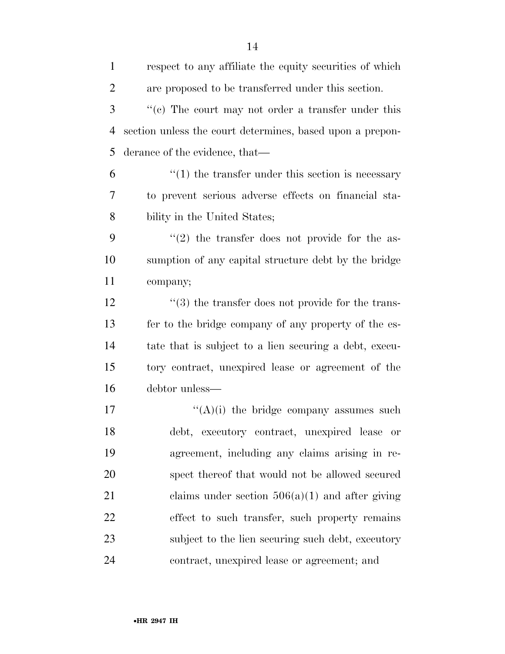| $\mathbf{1}$   | respect to any affiliate the equity securities of which   |
|----------------|-----------------------------------------------------------|
| $\overline{2}$ | are proposed to be transferred under this section.        |
| 3              | $f'(c)$ The court may not order a transfer under this     |
| $\overline{4}$ | section unless the court determines, based upon a prepon- |
| 5              | derance of the evidence, that—                            |
| 6              | $\cdot$ (1) the transfer under this section is necessary  |
| 7              | to prevent serious adverse effects on financial sta-      |
| 8              | bility in the United States;                              |
| 9              | $f'(2)$ the transfer does not provide for the as-         |
| 10             | sumption of any capital structure debt by the bridge      |
| 11             | company;                                                  |
| 12             | $\cdot$ (3) the transfer does not provide for the trans-  |
| 13             | fer to the bridge company of any property of the es-      |
| 14             | tate that is subject to a lien securing a debt, execu-    |
| 15             | tory contract, unexpired lease or agreement of the        |
| 16             | debtor unless—                                            |
| 17             | $\lq\lq(A)(i)$ the bridge company assumes such            |
| 18             | debt, executory contract, unexpired lease<br>or           |
| 19             | agreement, including any claims arising in re-            |
| 20             | spect thereof that would not be allowed secured           |
| 21             | claims under section $506(a)(1)$ and after giving         |
| 22             | effect to such transfer, such property remains            |
| 23             | subject to the lien securing such debt, executory         |
| 24             | contract, unexpired lease or agreement; and               |
|                |                                                           |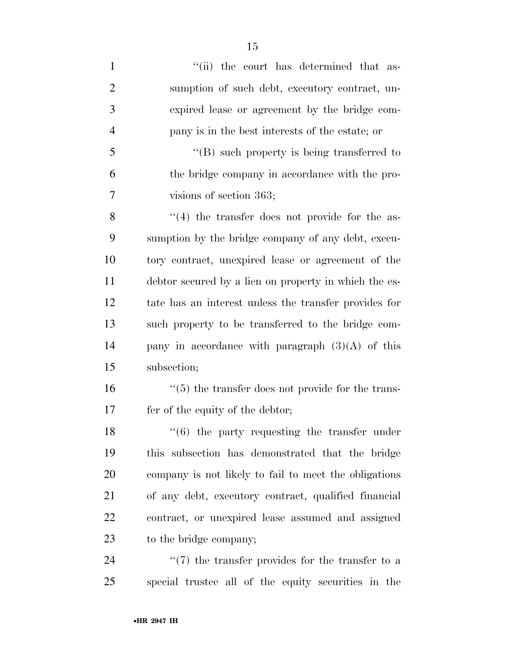1 ''(ii) the court has determined that as- sumption of such debt, executory contract, un- expired lease or agreement by the bridge com- pany is in the best interests of the estate; or ''(B) such property is being transferred to the bridge company in accordance with the pro- visions of section 363; 8 ''(4) the transfer does not provide for the as- sumption by the bridge company of any debt, execu- tory contract, unexpired lease or agreement of the debtor secured by a lien on property in which the es- tate has an interest unless the transfer provides for such property to be transferred to the bridge com- pany in accordance with paragraph (3)(A) of this subsection;  $\frac{16}{5}$  the transfer does not provide for the trans- fer of the equity of the debtor; 18 ''(6) the party requesting the transfer under this subsection has demonstrated that the bridge company is not likely to fail to meet the obligations of any debt, executory contract, qualified financial contract, or unexpired lease assumed and assigned to the bridge company; 24 ''(7) the transfer provides for the transfer to a special trustee all of the equity securities in the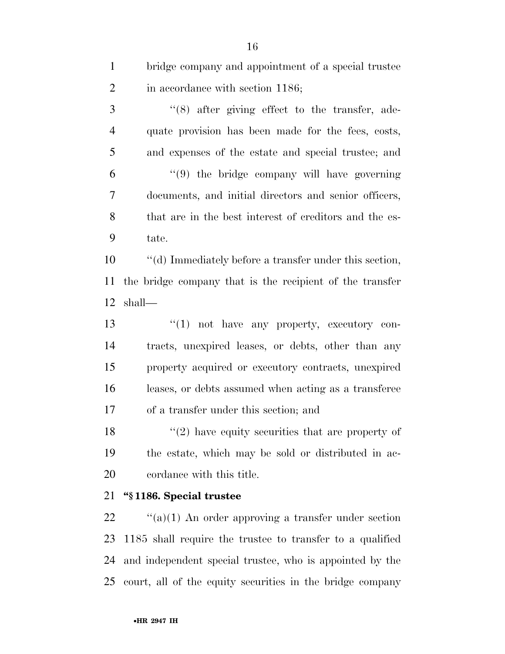| $\mathbf{1}$   | bridge company and appointment of a special trustee       |
|----------------|-----------------------------------------------------------|
| $\overline{2}$ | in accordance with section 1186;                          |
| 3              | $\cdot$ (8) after giving effect to the transfer, ade-     |
| $\overline{4}$ | quate provision has been made for the fees, costs,        |
| 5              | and expenses of the estate and special trustee; and       |
| 6              | "(9) the bridge company will have governing               |
| 7              | documents, and initial directors and senior officers,     |
| 8              | that are in the best interest of creditors and the es-    |
| 9              | tate.                                                     |
| 10             | "(d) Immediately before a transfer under this section,    |
| 11             | the bridge company that is the recipient of the transfer  |
| 12             | shall—                                                    |
| 13             | $"(1)$ not have any property, executory con-              |
| 14             | tracts, unexpired leases, or debts, other than any        |
| 15             | property acquired or executory contracts, unexpired       |
| 16             | leases, or debts assumed when acting as a transferee      |
| 17             | of a transfer under this section; and                     |
| 18             | $\lq(2)$ have equity securities that are property of      |
| 19             | the estate, which may be sold or distributed in ac-       |
| 20             | cordance with this title.                                 |
| 21             | "§1186. Special trustee                                   |
| 22             | "(a)(1) An order approving a transfer under section       |
| 23             | 1185 shall require the trustee to transfer to a qualified |

 and independent special trustee, who is appointed by the court, all of the equity securities in the bridge company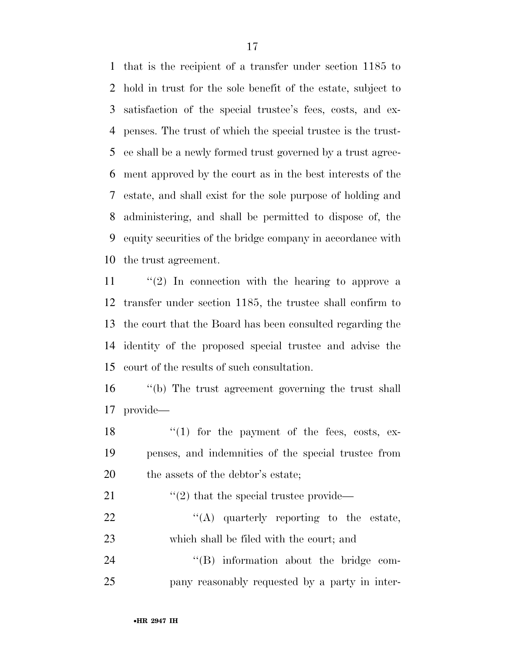that is the recipient of a transfer under section 1185 to hold in trust for the sole benefit of the estate, subject to satisfaction of the special trustee's fees, costs, and ex- penses. The trust of which the special trustee is the trust- ee shall be a newly formed trust governed by a trust agree- ment approved by the court as in the best interests of the estate, and shall exist for the sole purpose of holding and administering, and shall be permitted to dispose of, the equity securities of the bridge company in accordance with the trust agreement.

 ''(2) In connection with the hearing to approve a transfer under section 1185, the trustee shall confirm to the court that the Board has been consulted regarding the identity of the proposed special trustee and advise the court of the results of such consultation.

 ''(b) The trust agreement governing the trust shall provide—

18 ''(1) for the payment of the fees, costs, ex- penses, and indemnities of the special trustee from 20 the assets of the debtor's estate;

21  $\frac{1}{2}$  that the special trustee provide—

22  $\text{``(A)}$  quarterly reporting to the estate, which shall be filed with the court; and

24  $''(B)$  information about the bridge com-pany reasonably requested by a party in inter-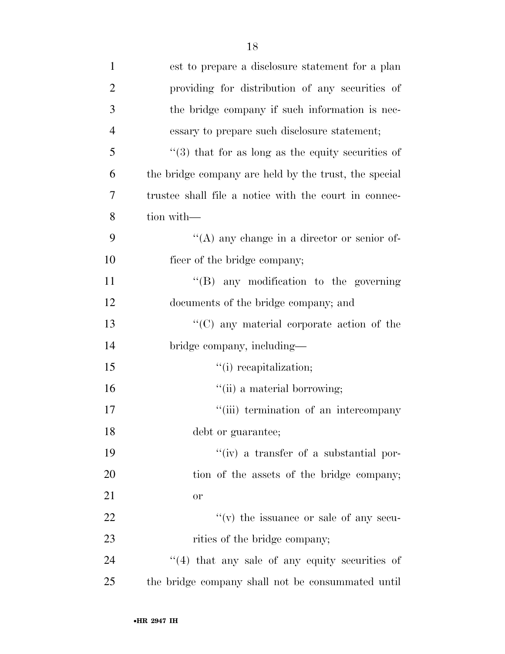| $\mathbf{1}$   | est to prepare a disclosure statement for a plan         |
|----------------|----------------------------------------------------------|
| $\overline{2}$ | providing for distribution of any securities of          |
| 3              | the bridge company if such information is nec-           |
| $\overline{4}$ | essary to prepare such disclosure statement;             |
| 5              | $\cdot$ (3) that for as long as the equity securities of |
| 6              | the bridge company are held by the trust, the special    |
| 7              | trustee shall file a notice with the court in connec-    |
| 8              | tion with-                                               |
| 9              | $\lq\lq$ any change in a director or senior of-          |
| 10             | ficer of the bridge company;                             |
| 11             | $\lq\lq(B)$ any modification to the governing            |
| 12             | documents of the bridge company; and                     |
| 13             | "(C) any material corporate action of the                |
| 14             | bridge company, including—                               |
| 15             | "(i) recapitalization;                                   |
| 16             | "(ii) a material borrowing;                              |
| 17             | "(iii) termination of an intercompany                    |
| 18             | debt or guarantee;                                       |
| 19             | $``(iv)$ a transfer of a substantial por-                |
| 20             | tion of the assets of the bridge company;                |
| 21             | <b>or</b>                                                |
| 22             | $f'(v)$ the issuance or sale of any secu-                |
| 23             | rities of the bridge company;                            |
| 24             | $(4)$ that any sale of any equity securities of          |
| 25             | the bridge company shall not be consummated until        |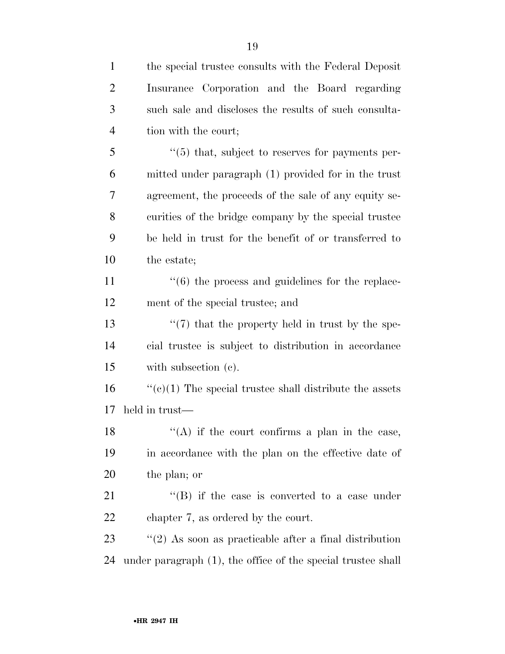| $\mathbf{1}$   | the special trustee consults with the Federal Deposit            |
|----------------|------------------------------------------------------------------|
| $\overline{c}$ | Insurance Corporation and the Board regarding                    |
| 3              | such sale and discloses the results of such consulta-            |
| $\overline{4}$ | tion with the court;                                             |
| 5              | "(5) that, subject to reserves for payments per-                 |
| 6              | mitted under paragraph (1) provided for in the trust             |
| 7              | agreement, the proceeds of the sale of any equity se-            |
| 8              | curities of the bridge company by the special trustee            |
| 9              | be held in trust for the benefit of or transferred to            |
| 10             | the estate;                                                      |
| 11             | $\cdot\cdot\cdot(6)$ the process and guidelines for the replace- |
| 12             | ment of the special trustee; and                                 |
| 13             | $\lq(7)$ that the property held in trust by the spe-             |
| 14             | cial trustee is subject to distribution in accordance            |
| 15             | with subsection (c).                                             |
| 16             | " $(e)(1)$ The special trustee shall distribute the assets       |
| 17             | held in trust—                                                   |
| 18             | $\lq($ A) if the court confirms a plan in the case,              |
| 19             | in accordance with the plan on the effective date of             |
| <b>20</b>      | the plan; or                                                     |
| 21             | "(B) if the case is converted to a case under                    |
| 22             | chapter 7, as ordered by the court.                              |
| 23             | $\lq(2)$ As soon as practicable after a final distribution       |
| 24             | under paragraph (1), the office of the special trustee shall     |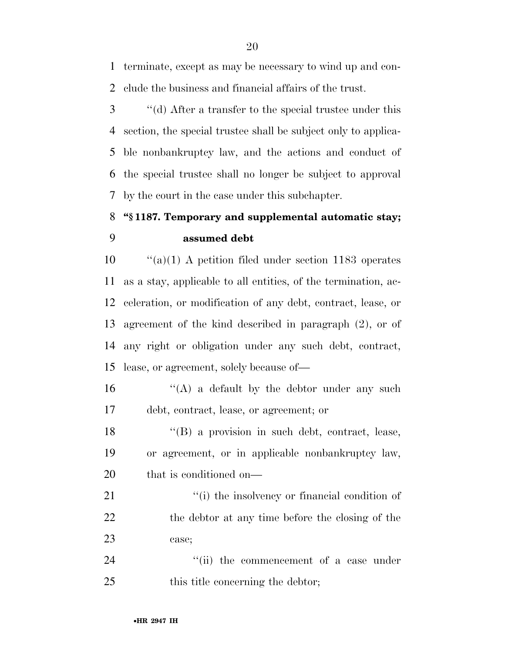terminate, except as may be necessary to wind up and con-clude the business and financial affairs of the trust.

 ''(d) After a transfer to the special trustee under this section, the special trustee shall be subject only to applica- ble nonbankruptcy law, and the actions and conduct of the special trustee shall no longer be subject to approval by the court in the case under this subchapter.

## **''§ 1187. Temporary and supplemental automatic stay; assumed debt**

 ''(a)(1) A petition filed under section 1183 operates as a stay, applicable to all entities, of the termination, ac- celeration, or modification of any debt, contract, lease, or agreement of the kind described in paragraph (2), or of any right or obligation under any such debt, contract, lease, or agreement, solely because of—

16  $\langle G \rangle$  a default by the debtor under any such debt, contract, lease, or agreement; or

 ''(B) a provision in such debt, contract, lease, or agreement, or in applicable nonbankruptcy law, that is conditioned on—

21  $\frac{1}{2}$  (i) the insolvency or financial condition of 22 the debtor at any time before the closing of the case;

24 ''(ii) the commencement of a case under 25 this title concerning the debtor;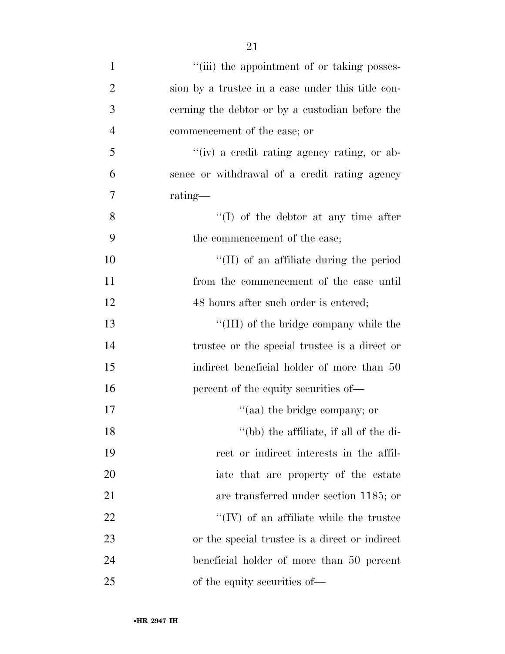| $\mathbf{1}$   | "(iii) the appointment of or taking posses-       |
|----------------|---------------------------------------------------|
| $\overline{2}$ | sion by a trustee in a case under this title con- |
| 3              | cerning the debtor or by a custodian before the   |
| $\overline{4}$ | commencement of the case; or                      |
| 5              | "(iv) a credit rating agency rating, or ab-       |
| 6              | sence or withdrawal of a credit rating agency     |
| 7              | rating—                                           |
| 8              | $\lq\lq$ of the debtor at any time after          |
| 9              | the commencement of the case;                     |
| 10             | $\lq\lq$ (II) of an affiliate during the period   |
| 11             | from the commencement of the case until           |
| 12             | 48 hours after such order is entered;             |
| 13             | "(III) of the bridge company while the            |
| 14             | trustee or the special trustee is a direct or     |
| 15             | indirect beneficial holder of more than 50        |
| 16             | percent of the equity securities of—              |
| 17             | "(aa) the bridge company; or                      |
| 18             | "(bb) the affiliate, if all of the di-            |
| 19             | rect or indirect interests in the affil-          |
| 20             | iate that are property of the estate              |
| 21             | are transferred under section 1185; or            |
| 22             | $\lq\lq$ (IV) of an affiliate while the trustee   |
| 23             | or the special trustee is a direct or indirect    |
| 24             | beneficial holder of more than 50 percent         |
| 25             | of the equity securities of—                      |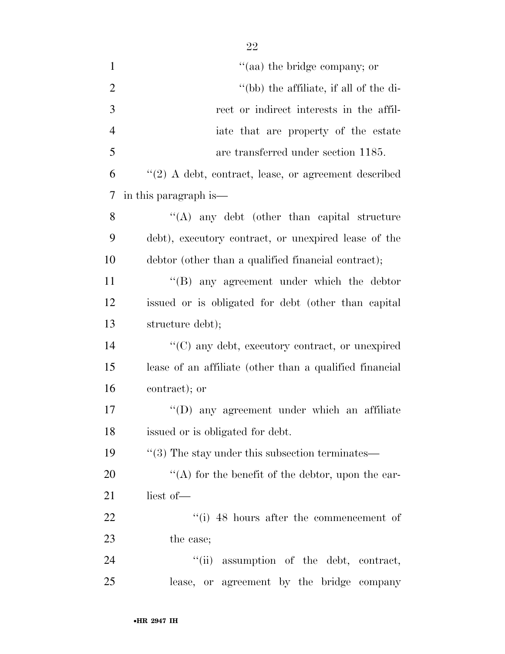| $\mathbf{1}$   | "(aa) the bridge company; or                                |
|----------------|-------------------------------------------------------------|
| $\overline{2}$ | "(bb) the affiliate, if all of the di-                      |
| 3              | rect or indirect interests in the affil-                    |
| $\overline{4}$ | iate that are property of the estate                        |
| 5              | are transferred under section 1185.                         |
| 6              | $"(2)$ A debt, contract, lease, or agreement described      |
| 7              | in this paragraph is—                                       |
| 8              | $\lq\lq$ any debt (other than capital structure             |
| 9              | debt), executory contract, or unexpired lease of the        |
| 10             | debtor (other than a qualified financial contract);         |
| 11             | "(B) any agreement under which the debtor                   |
| 12             | issued or is obligated for debt (other than capital         |
| 13             | structure debt);                                            |
| 14             | $\cdot\cdot$ (C) any debt, executory contract, or unexpired |
| 15             | lease of an affiliate (other than a qualified financial     |
| 16             | contract); or                                               |
| 17             | $\lq\lq$ (D) any agreement under which an affiliate         |
| 18             | issued or is obligated for debt.                            |
| 19             | $\cdot\cdot$ (3) The stay under this subsection terminates— |
| 20             | "(A) for the benefit of the debtor, upon the ear-           |
| 21             | liest of-                                                   |
| 22             | $``(i)$ 48 hours after the commencement of                  |
| 23             | the case;                                                   |
| 24             | "(ii) assumption of the debt, contract,                     |
| 25             | lease, or agreement by the bridge company                   |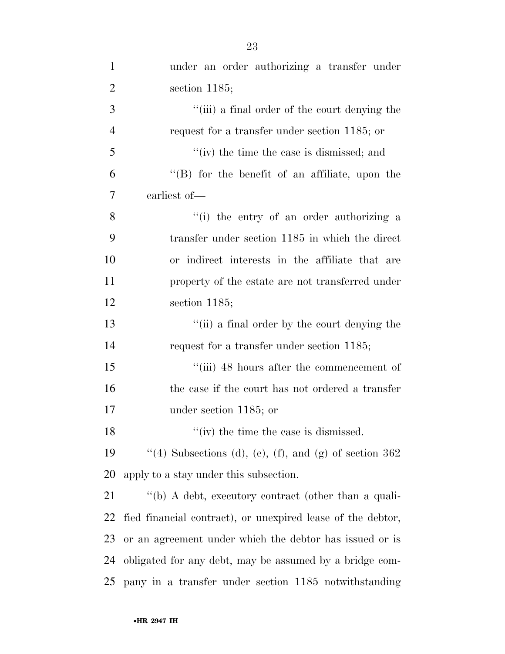| $\mathbf{1}$   | under an order authorizing a transfer under                 |
|----------------|-------------------------------------------------------------|
| $\overline{2}$ | section $1185$ ;                                            |
| 3              | "(iii) a final order of the court denying the               |
| $\overline{4}$ | request for a transfer under section 1185; or               |
| 5              | "(iv) the time the case is dismissed; and                   |
| 6              | $\lq\lq$ for the benefit of an affiliate, upon the          |
| 7              | earliest of-                                                |
| 8              | "(i) the entry of an order authorizing a                    |
| 9              | transfer under section 1185 in which the direct             |
| 10             | or indirect interests in the affiliate that are             |
| 11             | property of the estate are not transferred under            |
| 12             | section $1185$ ;                                            |
| 13             | "(ii) a final order by the court denying the                |
| 14             | request for a transfer under section 1185;                  |
| 15             | "(iii) 48 hours after the commencement of                   |
| 16             | the case if the court has not ordered a transfer            |
| 17             | under section 1185; or                                      |
| 18             | $\lq\lq$ (iv) the time the case is dismissed.               |
| 19             | "(4) Subsections (d), (e), (f), and (g) of section $362$    |
| 20             | apply to a stay under this subsection.                      |
| 21             | "(b) A debt, executory contract (other than a quali-        |
| 22             | fied financial contract), or unexpired lease of the debtor, |
| 23             | or an agreement under which the debtor has issued or is     |
| 24             | obligated for any debt, may be assumed by a bridge com-     |
| 25             | pany in a transfer under section 1185 notwithstanding       |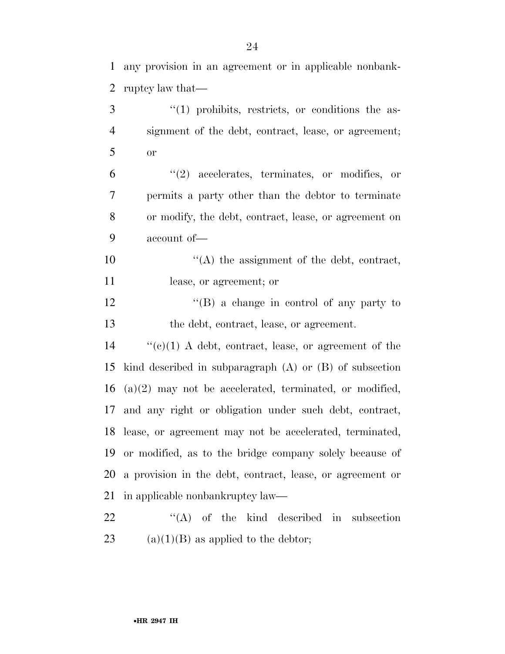any provision in an agreement or in applicable nonbank-

 $\frac{3}{1}$  ''(1) prohibits, restricts, or conditions the as-

ruptcy law that—

 signment of the debt, contract, lease, or agreement; or ''(2) accelerates, terminates, or modifies, or permits a party other than the debtor to terminate or modify, the debt, contract, lease, or agreement on account of—  $\langle (A)$  the assignment of the debt, contract, lease, or agreement; or ''(B) a change in control of any party to the debt, contract, lease, or agreement. ''(c)(1) A debt, contract, lease, or agreement of the kind described in subparagraph (A) or (B) of subsection (a)(2) may not be accelerated, terminated, or modified, and any right or obligation under such debt, contract, lease, or agreement may not be accelerated, terminated, or modified, as to the bridge company solely because of a provision in the debt, contract, lease, or agreement or 21 in applicable nonbankruptcy law— 22 "(A) of the kind described in subsection 23 (a)(1)(B) as applied to the debtor;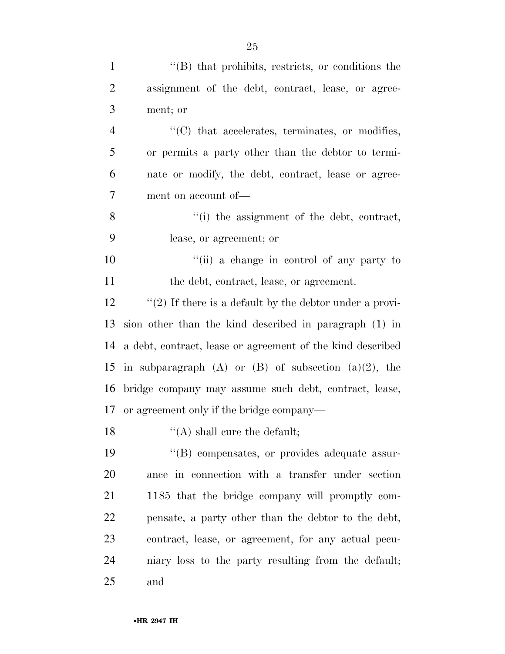| $\mathbf{1}$   | $\cdot$ (B) that prohibits, restricts, or conditions the    |
|----------------|-------------------------------------------------------------|
| $\overline{2}$ | assignment of the debt, contract, lease, or agree-          |
| 3              | ment; or                                                    |
| $\overline{4}$ | $\cdot\cdot$ (C) that accelerates, terminates, or modifies, |
| 5              | or permits a party other than the debtor to termi-          |
| 6              | nate or modify, the debt, contract, lease or agree-         |
| $\overline{7}$ | ment on account of—                                         |
| 8              | "(i) the assignment of the debt, contract,                  |
| 9              | lease, or agreement; or                                     |
| 10             | "(ii) a change in control of any party to                   |
| 11             | the debt, contract, lease, or agreement.                    |
| 12             | "(2) If there is a default by the debtor under a provi-     |
| 13             | sion other than the kind described in paragraph (1) in      |
| 14             | a debt, contract, lease or agreement of the kind described  |
| 15             | in subparagraph $(A)$ or $(B)$ of subsection $(a)(2)$ , the |
| 16             | bridge company may assume such debt, contract, lease,       |
| 17             | or agreement only if the bridge company—                    |
| 18             | $\lq($ A) shall cure the default;                           |
| 19             | "(B) compensates, or provides adequate assur-               |
| 20             | ance in connection with a transfer under section            |
| 21             | 1185 that the bridge company will promptly com-             |
| 22             | pensate, a party other than the debtor to the debt,         |
| 23             | contract, lease, or agreement, for any actual pecu-         |
| 24             | niary loss to the party resulting from the default;         |
| 25             | and                                                         |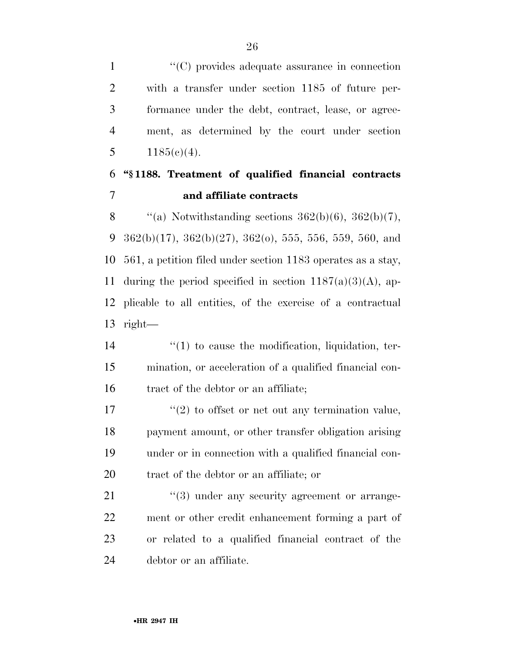$\langle ^{\prime}(C) \rangle$  provides adequate assurance in connection with a transfer under section 1185 of future per- formance under the debt, contract, lease, or agree- ment, as determined by the court under section  $1185(c)(4)$ .

### **''§ 1188. Treatment of qualified financial contracts and affiliate contracts**

8  $\qquad$  "(a) Notwithstanding sections 362(b)(6), 362(b)(7), 9 362(b)(17), 362(b)(27), 362(o), 555, 556, 559, 560, and 561, a petition filed under section 1183 operates as a stay, 11 during the period specified in section  $1187(a)(3)(A)$ , ap- plicable to all entities, of the exercise of a contractual right—

14  $\frac{1}{2}$  (1) to cause the modification, liquidation, ter- mination, or acceleration of a qualified financial con-16 tract of the debtor or an affiliate;

 $\frac{17}{2}$  ''(2) to offset or net out any termination value, payment amount, or other transfer obligation arising under or in connection with a qualified financial con-tract of the debtor or an affiliate; or

 $\frac{u(3)}{2}$  under any security agreement or arrange- ment or other credit enhancement forming a part of or related to a qualified financial contract of the debtor or an affiliate.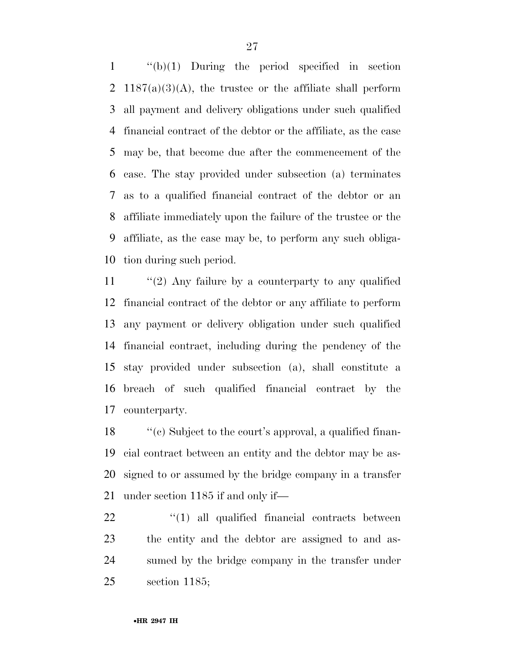''(b)(1) During the period specified in section 2 1187(a)(3)(A), the trustee or the affiliate shall perform all payment and delivery obligations under such qualified financial contract of the debtor or the affiliate, as the case may be, that become due after the commencement of the case. The stay provided under subsection (a) terminates as to a qualified financial contract of the debtor or an affiliate immediately upon the failure of the trustee or the affiliate, as the case may be, to perform any such obliga-tion during such period.

 ''(2) Any failure by a counterparty to any qualified financial contract of the debtor or any affiliate to perform any payment or delivery obligation under such qualified financial contract, including during the pendency of the stay provided under subsection (a), shall constitute a breach of such qualified financial contract by the counterparty.

18 ''(c) Subject to the court's approval, a qualified finan- cial contract between an entity and the debtor may be as- signed to or assumed by the bridge company in a transfer under section 1185 if and only if—

 $\frac{u(1)}{2}$  all qualified financial contracts between the entity and the debtor are assigned to and as- sumed by the bridge company in the transfer under section 1185;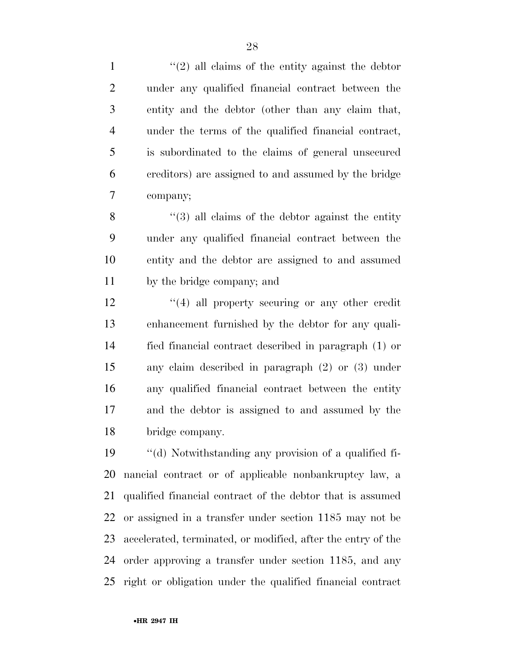$\frac{1}{2}$  all claims of the entity against the debtor under any qualified financial contract between the entity and the debtor (other than any claim that, under the terms of the qualified financial contract, is subordinated to the claims of general unsecured creditors) are assigned to and assumed by the bridge company;

8 "(3) all claims of the debtor against the entity under any qualified financial contract between the entity and the debtor are assigned to and assumed by the bridge company; and

12 ''(4) all property securing or any other credit enhancement furnished by the debtor for any quali- fied financial contract described in paragraph (1) or any claim described in paragraph (2) or (3) under any qualified financial contract between the entity and the debtor is assigned to and assumed by the bridge company.

 ''(d) Notwithstanding any provision of a qualified fi- nancial contract or of applicable nonbankruptcy law, a qualified financial contract of the debtor that is assumed or assigned in a transfer under section 1185 may not be accelerated, terminated, or modified, after the entry of the order approving a transfer under section 1185, and any right or obligation under the qualified financial contract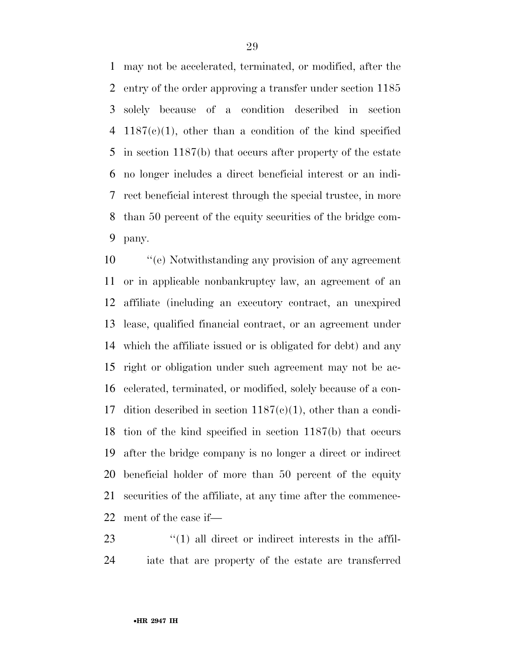may not be accelerated, terminated, or modified, after the entry of the order approving a transfer under section 1185 solely because of a condition described in section 1187(c)(1), other than a condition of the kind specified in section 1187(b) that occurs after property of the estate no longer includes a direct beneficial interest or an indi- rect beneficial interest through the special trustee, in more than 50 percent of the equity securities of the bridge com-pany.

 ''(e) Notwithstanding any provision of any agreement or in applicable nonbankruptcy law, an agreement of an affiliate (including an executory contract, an unexpired lease, qualified financial contract, or an agreement under which the affiliate issued or is obligated for debt) and any right or obligation under such agreement may not be ac- celerated, terminated, or modified, solely because of a con-17 dition described in section  $1187(c)(1)$ , other than a condi- tion of the kind specified in section 1187(b) that occurs after the bridge company is no longer a direct or indirect beneficial holder of more than 50 percent of the equity securities of the affiliate, at any time after the commence-ment of the case if—

23  $\frac{1}{2}$  (1) all direct or indirect interests in the affil-iate that are property of the estate are transferred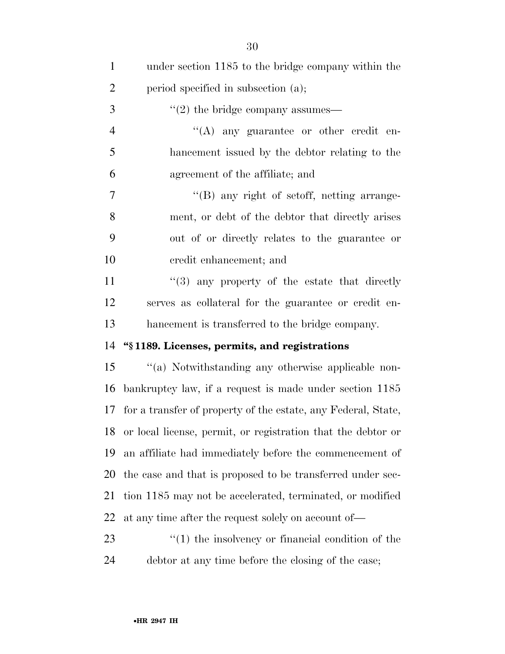| $\mathbf{1}$   | under section 1185 to the bridge company within the              |
|----------------|------------------------------------------------------------------|
| $\overline{2}$ | period specified in subsection (a);                              |
| 3              | $\lq(2)$ the bridge company assumes—                             |
| $\overline{4}$ | $\lq\lq$ any guarantee or other credit en-                       |
| 5              | hancement issued by the debtor relating to the                   |
| 6              | agreement of the affiliate; and                                  |
| 7              | $\lq\lq (B)$ any right of set of f, netting arrange-             |
| 8              | ment, or debt of the debtor that directly arises                 |
| 9              | out of or directly relates to the guarantee or                   |
| 10             | credit enhancement; and                                          |
| 11             | $\cdot$ (3) any property of the estate that directly             |
| 12             | serves as collateral for the guarantee or credit en-             |
| 13             | hancement is transferred to the bridge company.                  |
| 14             | "§1189. Licenses, permits, and registrations                     |
| 15             | "(a) Notwithstanding any otherwise applicable non-               |
| 16             | bankruptcy law, if a request is made under section 1185          |
|                | 17 for a transfer of property of the estate, any Federal, State, |
|                | 18 or local license, permit, or registration that the debtor or  |
| 19             | an affiliate had immediately before the commencement of          |
| 20             |                                                                  |
|                | the case and that is proposed to be transferred under sec-       |
| 21             | tion 1185 may not be accelerated, terminated, or modified        |
| 22             | at any time after the request solely on account of—              |
| 23             | $\lq(1)$ the insolvency or financial condition of the            |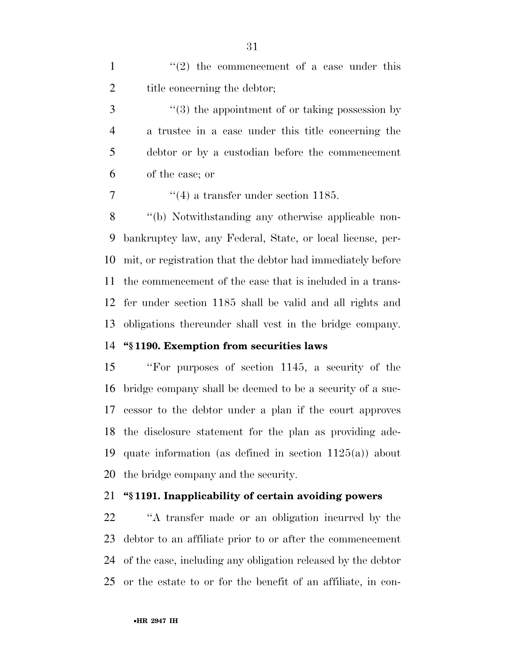1  $\frac{1}{2}$  the commencement of a case under this 2 title concerning the debtor;

3 (3) the appointment of or taking possession by a trustee in a case under this title concerning the debtor or by a custodian before the commencement of the case; or

 $\frac{4}{4}$  a transfer under section 1185.

 ''(b) Notwithstanding any otherwise applicable non- bankruptcy law, any Federal, State, or local license, per- mit, or registration that the debtor had immediately before the commencement of the case that is included in a trans- fer under section 1185 shall be valid and all rights and obligations thereunder shall vest in the bridge company.

#### **''§ 1190. Exemption from securities laws**

 ''For purposes of section 1145, a security of the bridge company shall be deemed to be a security of a suc- cessor to the debtor under a plan if the court approves the disclosure statement for the plan as providing ade- quate information (as defined in section 1125(a)) about the bridge company and the security.

#### **''§ 1191. Inapplicability of certain avoiding powers**

 ''A transfer made or an obligation incurred by the debtor to an affiliate prior to or after the commencement of the case, including any obligation released by the debtor or the estate to or for the benefit of an affiliate, in con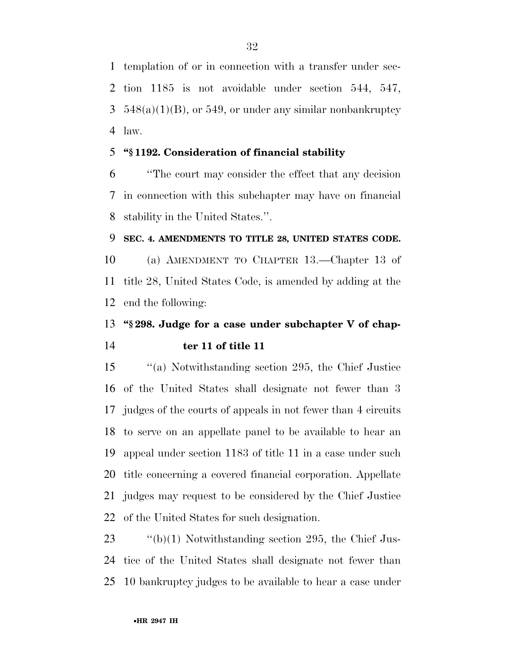templation of or in connection with a transfer under sec- tion 1185 is not avoidable under section 544, 547,  $3\quad 548(a)(1)(B)$ , or 549, or under any similar nonbankruptcy law.

#### **''§ 1192. Consideration of financial stability**

 ''The court may consider the effect that any decision in connection with this subchapter may have on financial stability in the United States.''.

#### **SEC. 4. AMENDMENTS TO TITLE 28, UNITED STATES CODE.**

 (a) AMENDMENT TO CHAPTER 13.—Chapter 13 of title 28, United States Code, is amended by adding at the end the following:

## **''§ 298. Judge for a case under subchapter V of chap-ter 11 of title 11**

 ''(a) Notwithstanding section 295, the Chief Justice of the United States shall designate not fewer than 3 judges of the courts of appeals in not fewer than 4 circuits to serve on an appellate panel to be available to hear an appeal under section 1183 of title 11 in a case under such title concerning a covered financial corporation. Appellate judges may request to be considered by the Chief Justice of the United States for such designation.

 ''(b)(1) Notwithstanding section 295, the Chief Jus- tice of the United States shall designate not fewer than 10 bankruptcy judges to be available to hear a case under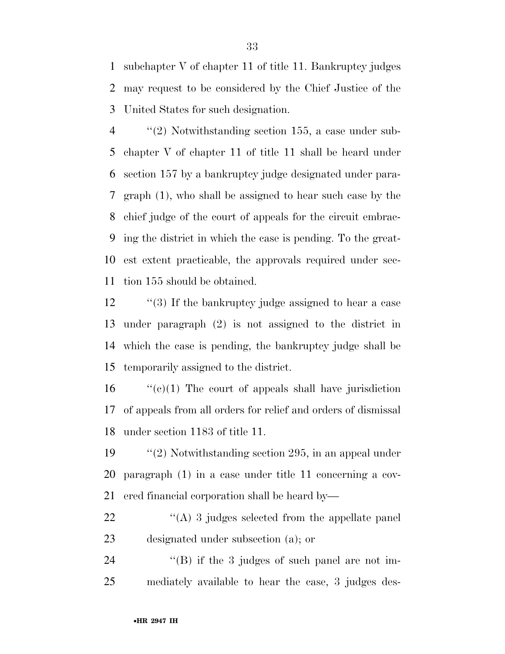subchapter V of chapter 11 of title 11. Bankruptcy judges may request to be considered by the Chief Justice of the United States for such designation.

 ''(2) Notwithstanding section 155, a case under sub- chapter V of chapter 11 of title 11 shall be heard under section 157 by a bankruptcy judge designated under para- graph (1), who shall be assigned to hear such case by the chief judge of the court of appeals for the circuit embrac- ing the district in which the case is pending. To the great- est extent practicable, the approvals required under sec-tion 155 should be obtained.

12 "(3) If the bankruptcy judge assigned to hear a case under paragraph (2) is not assigned to the district in which the case is pending, the bankruptcy judge shall be temporarily assigned to the district.

16  $\frac{1}{2}$  (c)(1) The court of appeals shall have jurisdiction of appeals from all orders for relief and orders of dismissal under section 1183 of title 11.

 ''(2) Notwithstanding section 295, in an appeal under paragraph (1) in a case under title 11 concerning a cov-ered financial corporation shall be heard by—

22 ''(A) 3 judges selected from the appellate panel designated under subsection (a); or

24 "(B) if the 3 judges of such panel are not im-mediately available to hear the case, 3 judges des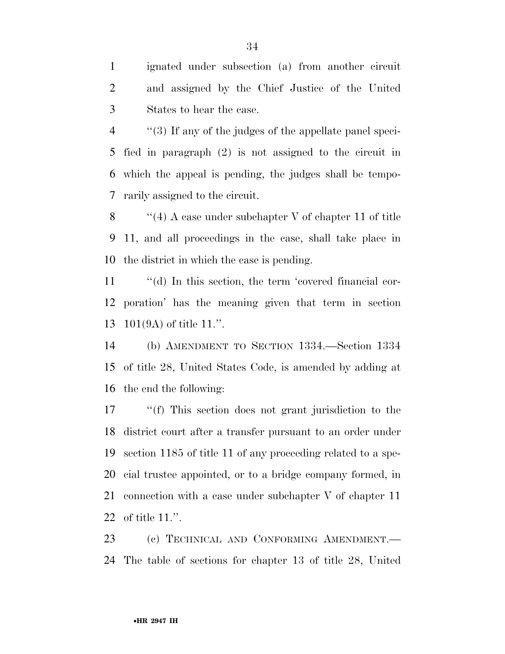ignated under subsection (a) from another circuit and assigned by the Chief Justice of the United States to hear the case.

 ''(3) If any of the judges of the appellate panel speci- fied in paragraph (2) is not assigned to the circuit in which the appeal is pending, the judges shall be tempo-rarily assigned to the circuit.

 ''(4) A case under subchapter V of chapter 11 of title 11, and all proceedings in the case, shall take place in the district in which the case is pending.

11  $\cdot$  "(d) In this section, the term 'covered financial cor- poration' has the meaning given that term in section 101(9A) of title 11.''.

 (b) AMENDMENT TO SECTION 1334.—Section 1334 of title 28, United States Code, is amended by adding at the end the following:

 ''(f) This section does not grant jurisdiction to the district court after a transfer pursuant to an order under section 1185 of title 11 of any proceeding related to a spe- cial trustee appointed, or to a bridge company formed, in connection with a case under subchapter V of chapter 11 of title 11.''.

 (c) TECHNICAL AND CONFORMING AMENDMENT.— The table of sections for chapter 13 of title 28, United